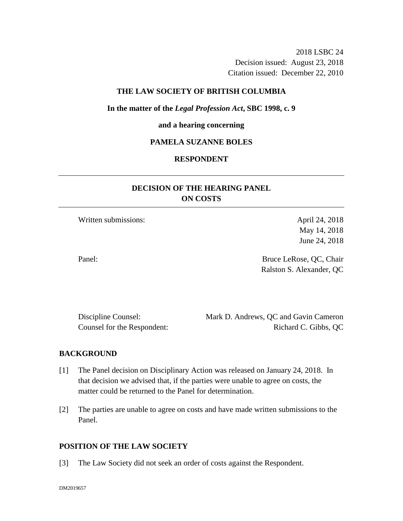2018 LSBC 24 Decision issued: August 23, 2018 Citation issued: December 22, 2010

#### **THE LAW SOCIETY OF BRITISH COLUMBIA**

#### **In the matter of the** *Legal Profession Act***, SBC 1998, c. 9**

#### **and a hearing concerning**

## **PAMELA SUZANNE BOLES**

### **RESPONDENT**

# **DECISION OF THE HEARING PANEL ON COSTS**

Written submissions: April 24, 2018

May 14, 2018 June 24, 2018

Panel: Bruce LeRose, QC, Chair Ralston S. Alexander, QC

| Discipline Counsel:         | Mark D. Andrews, QC and Gavin Cameron |
|-----------------------------|---------------------------------------|
| Counsel for the Respondent: | Richard C. Gibbs, QC                  |

#### **BACKGROUND**

- [1] The Panel decision on Disciplinary Action was released on January 24, 2018. In that decision we advised that, if the parties were unable to agree on costs, the matter could be returned to the Panel for determination.
- [2] The parties are unable to agree on costs and have made written submissions to the Panel.

### **POSITION OF THE LAW SOCIETY**

[3] The Law Society did not seek an order of costs against the Respondent.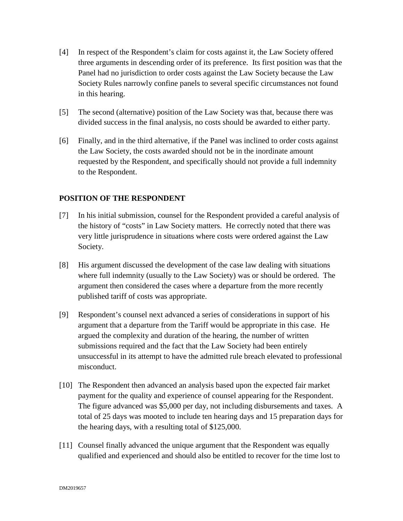- [4] In respect of the Respondent's claim for costs against it, the Law Society offered three arguments in descending order of its preference. Its first position was that the Panel had no jurisdiction to order costs against the Law Society because the Law Society Rules narrowly confine panels to several specific circumstances not found in this hearing.
- [5] The second (alternative) position of the Law Society was that, because there was divided success in the final analysis, no costs should be awarded to either party.
- [6] Finally, and in the third alternative, if the Panel was inclined to order costs against the Law Society, the costs awarded should not be in the inordinate amount requested by the Respondent, and specifically should not provide a full indemnity to the Respondent.

## **POSITION OF THE RESPONDENT**

- [7] In his initial submission, counsel for the Respondent provided a careful analysis of the history of "costs" in Law Society matters. He correctly noted that there was very little jurisprudence in situations where costs were ordered against the Law Society.
- [8] His argument discussed the development of the case law dealing with situations where full indemnity (usually to the Law Society) was or should be ordered. The argument then considered the cases where a departure from the more recently published tariff of costs was appropriate.
- [9] Respondent's counsel next advanced a series of considerations in support of his argument that a departure from the Tariff would be appropriate in this case. He argued the complexity and duration of the hearing, the number of written submissions required and the fact that the Law Society had been entirely unsuccessful in its attempt to have the admitted rule breach elevated to professional misconduct.
- [10] The Respondent then advanced an analysis based upon the expected fair market payment for the quality and experience of counsel appearing for the Respondent. The figure advanced was \$5,000 per day, not including disbursements and taxes. A total of 25 days was mooted to include ten hearing days and 15 preparation days for the hearing days, with a resulting total of \$125,000.
- [11] Counsel finally advanced the unique argument that the Respondent was equally qualified and experienced and should also be entitled to recover for the time lost to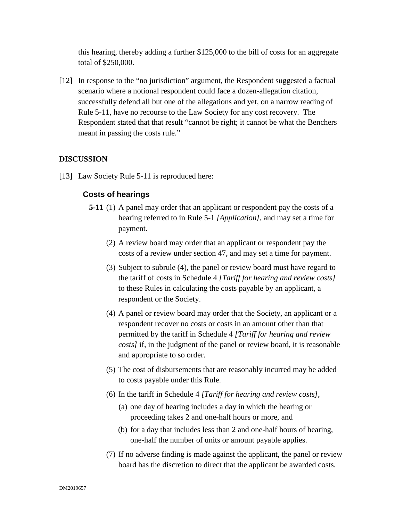this hearing, thereby adding a further \$125,000 to the bill of costs for an aggregate total of \$250,000.

[12] In response to the "no jurisdiction" argument, the Respondent suggested a factual scenario where a notional respondent could face a dozen-allegation citation, successfully defend all but one of the allegations and yet, on a narrow reading of Rule 5-11, have no recourse to the Law Society for any cost recovery. The Respondent stated that that result "cannot be right; it cannot be what the Benchers meant in passing the costs rule."

## **DISCUSSION**

[13] Law Society Rule 5-11 is reproduced here:

# **Costs of hearings**

- **5-11** (1) A panel may order that an applicant or respondent pay the costs of a hearing referred to in Rule 5-1 *[Application]*, and may set a time for payment.
	- (2) A review board may order that an applicant or respondent pay the costs of a review under section 47, and may set a time for payment.
	- (3) Subject to subrule (4), the panel or review board must have regard to the tariff of costs in Schedule 4 *[Tariff for hearing and review costs]*  to these Rules in calculating the costs payable by an applicant, a respondent or the Society.
	- (4) A panel or review board may order that the Society, an applicant or a respondent recover no costs or costs in an amount other than that permitted by the tariff in Schedule 4 *[Tariff for hearing and review costs]* if, in the judgment of the panel or review board, it is reasonable and appropriate to so order.
	- (5) The cost of disbursements that are reasonably incurred may be added to costs payable under this Rule.
	- (6) In the tariff in Schedule 4 *[Tariff for hearing and review costs]*,
		- (a) one day of hearing includes a day in which the hearing or proceeding takes 2 and one-half hours or more, and
		- (b) for a day that includes less than 2 and one-half hours of hearing, one-half the number of units or amount payable applies.
	- (7) If no adverse finding is made against the applicant, the panel or review board has the discretion to direct that the applicant be awarded costs.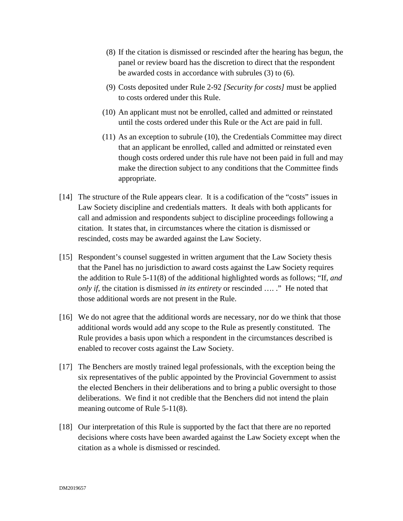- (8) If the citation is dismissed or rescinded after the hearing has begun, the panel or review board has the discretion to direct that the respondent be awarded costs in accordance with subrules (3) to (6).
- (9) Costs deposited under Rule 2-92 *[Security for costs]* must be applied to costs ordered under this Rule.
- (10) An applicant must not be enrolled, called and admitted or reinstated until the costs ordered under this Rule or the Act are paid in full.
- (11) As an exception to subrule (10), the Credentials Committee may direct that an applicant be enrolled, called and admitted or reinstated even though costs ordered under this rule have not been paid in full and may make the direction subject to any conditions that the Committee finds appropriate.
- [14] The structure of the Rule appears clear. It is a codification of the "costs" issues in Law Society discipline and credentials matters. It deals with both applicants for call and admission and respondents subject to discipline proceedings following a citation. It states that, in circumstances where the citation is dismissed or rescinded, costs may be awarded against the Law Society.
- [15] Respondent's counsel suggested in written argument that the Law Society thesis that the Panel has no jurisdiction to award costs against the Law Society requires the addition to Rule 5-11(8) of the additional highlighted words as follows; "If, *and only if*, the citation is dismissed *in its entirety* or rescinded …. ." He noted that those additional words are not present in the Rule.
- [16] We do not agree that the additional words are necessary, nor do we think that those additional words would add any scope to the Rule as presently constituted. The Rule provides a basis upon which a respondent in the circumstances described is enabled to recover costs against the Law Society.
- [17] The Benchers are mostly trained legal professionals, with the exception being the six representatives of the public appointed by the Provincial Government to assist the elected Benchers in their deliberations and to bring a public oversight to those deliberations. We find it not credible that the Benchers did not intend the plain meaning outcome of Rule 5-11(8).
- [18] Our interpretation of this Rule is supported by the fact that there are no reported decisions where costs have been awarded against the Law Society except when the citation as a whole is dismissed or rescinded.